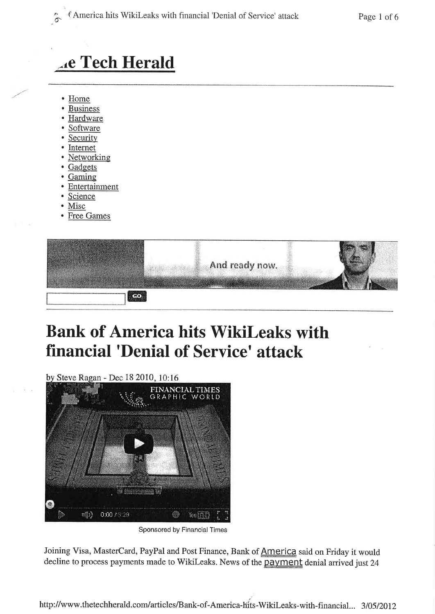# **Ac Tech Herald**

- Home
- **Business**
- Hardware
- Software
- Security
- Internet
- Networking
- Gadgets
- Gaming
- Entertainment
- Science
- Misc
- **Free Games**

| And ready now. |  |
|----------------|--|
|                |  |

# **Bank of America hits WikiLeaks with** financial 'Denial of Service' attack

by Steve Ragan - Dec 18 2010, 10:16



Sponsored by Financial Times

Joining Visa, MasterCard, PayPal and Post Finance, Bank of America said on Friday it would decline to process payments made to WikiLeaks. News of the payment denial arrived just 24

http://www.thetechherald.com/articles/Bank-of-America-hits-WikiLeaks-with-financial... 3/05/2012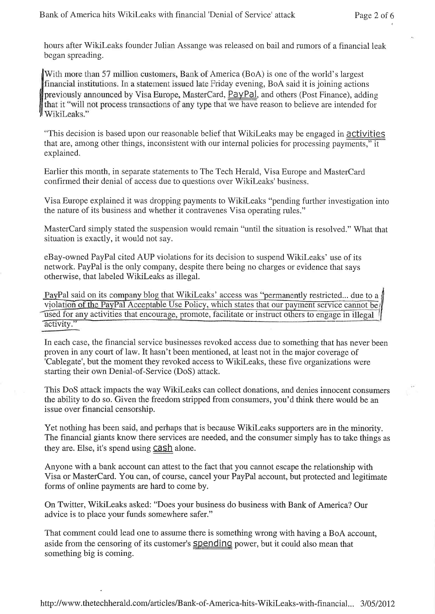hours after Wikileaks founder Julian Assange was released on bail and rumors of a financial leak began spreading.

With more than 57 million customers, Bank of America (BoA) is one of the world's largest financial institutions. In a statement issued late Friday evening, BoA said it is joining actions previously announced by Visa Europe, MasterCard, PayPal, and others (Post Finance), adding that it "will not process transactions of any type that we have reason to believe are intended for WikiLeaks."

"This decision is based upon our reasonable belief that WikiLeaks may be engaged in **activities** that are, among other things, inconsistent with our internal policies for processing payments," it explained,

Earlier this month, in separate statements to The Tech Herald, Visa Europe and MasterCard confirmed their denial of access due to questions over Wikileaks'business.

Visa Europe explained it was dropping payments to Wikileaks "pending further investigation into the nature of its business and whether it contravenes Visa operating rules."

MasterCard simply stated the suspension would remain "until the situation is resolved." What that situation is exactly, it would not say.

eBay-owned PayPal cited AUP violations for its decision to suspend Wikileaks' use of its network. PayPal is the only company, despite there being no charges or evidence that says otherwise, that labeled WikiLeaks as illegal.

PayPal said on its company blog that WikiLeaks' access was "permanently restricted... due to a violation of the PayPal Acceptable Use Policy, which states that our payment service cannot be used for any activities that encourage, promote, facilitate or instruct others to engage in illegal activity."

In each case, the financial service businesses revoked access due to something that has never been proven in any court of law. It hasn't been mentioned, at least not in the major coverage of 'Cablegate', but the moment they revoked access to WikiLeaks, these five organizations were starting their own Denial-of-Service (DoS) attack.

This DoS attack impacts the way Wikileaks can collect donations, and denies innocent consumers the ability to do so. Given the freedom stripped from consumers, you'd think there would be an issue over financial censorship.

Yet nothing has been said, and perhaps that is because WikiLeaks supporters are in the minority. The financial giants know there services are needed, and the consumer simply has to take things as they are. Else, it's spend using **cash** alone.

Anyone with a bank account can attest to the fact that you cannot escape the relationship with Visa or MasterCard. You can, of course, cancel your PayPal account, but protected and legitimate forms of online payments are hard to come by.

On Twitter, 'Wikileaks asked: "Does your business do business with Bank of America? Our advice is to place your funds somewhere safer."

That comment could lead one to assume there is something wrong with having a BoA account, aside from the censoring of its customer's **Spending** power, but it could also mean that something big is coming.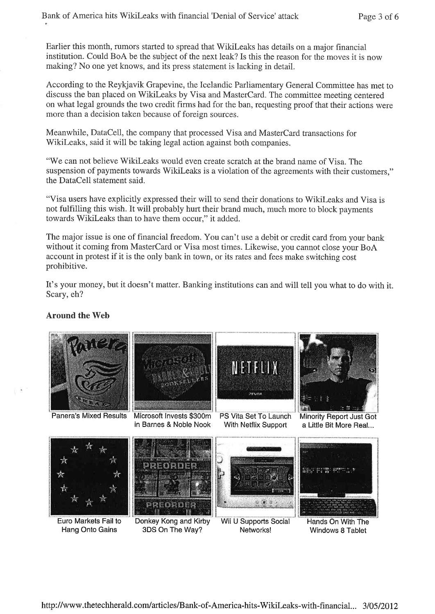Earlier this month, rumors started to spread that WikiLeaks has details on a major financial institution. Could BoA be the subject of the next leak? Is this the reason for the moves it is now making? No one yet knows, and its press statement is lacking in detail.

According to the Reykjavik Grapevine, the Icelandic Parliamentary General Committee has met to discuss the ban placed on WikiLeaks by Visa and MasterCard. The committee meeting centered on what legal grounds the two credit firms had for the ban, requesting proof that their actions were more than a decision taken because of foreign sources.

Meanwhile, DataCell, the company that processed Visa and MasterCard transactions for WikiLeaks, said it will be taking legal action against both companies.

"We can not believe WikiLeaks would even create scratch at the brand name of Visa. The suspension of payments towards WikiLeaks is a violation of the agreements with their customers," the DataCell statement said.

"Visa users have explicitly expressed their will to send their donations to WikiLeaks and Visa is not fulfilling this wish. It will probably hurt their brand much, much more to block payments towards WikiLeaks than to have them occur," it added.

The major issue is one of financial freedom. You can't use a debit or credit card from your bank without it coming from MasterCard or Visa most times. Likewise, you cannot close your BoA account in protest if it is the only bank in town, or its rates and fees make switching cost prohibitive.

It's your money, but it doesn't matter. Banking institutions can and will tell you what to do with it. Scary, eh?

## **Around the Web**

Hang Onto Gains



3DS On The Way?

Windows 8 Tablet

Networks!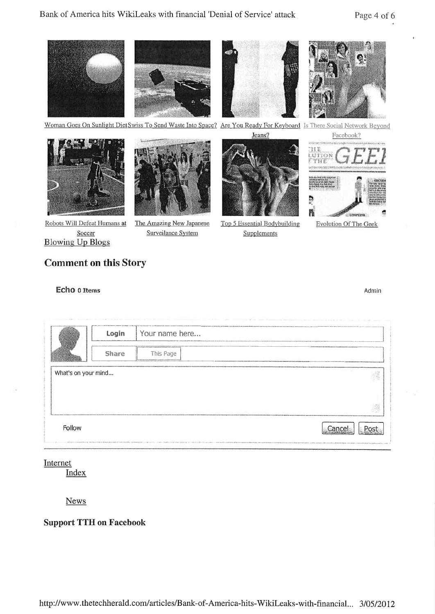

Woman Goes On Sunlight DietSwiss To Send Waste Into Space? Are You Ready For Keyboard Is There Social Network Beyond





Robots Will Defeat Humans at Soccer **Blowing Up Blogs** 

The Amazing New Japanese Surveilance System



Top 5 Essential Bodybuilding **Supplements** 



**Evolution Of The Geek** 

# **Comment on this Story**

### Echo o Items

Admin

|                     | Login | Your name here |  |
|---------------------|-------|----------------|--|
|                     | Share | This Page      |  |
| What's on your mind |       |                |  |
|                     |       |                |  |
|                     |       |                |  |
|                     |       |                |  |

## Internet

Index

**News** 

## **Support TTH on Facebook**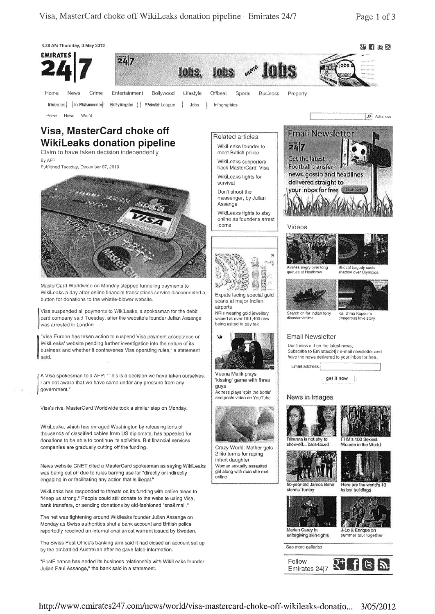

http://www.emirates247.com/news/world/visa-mastercard-choke-off-wikileaks-donatio... 3/05/2012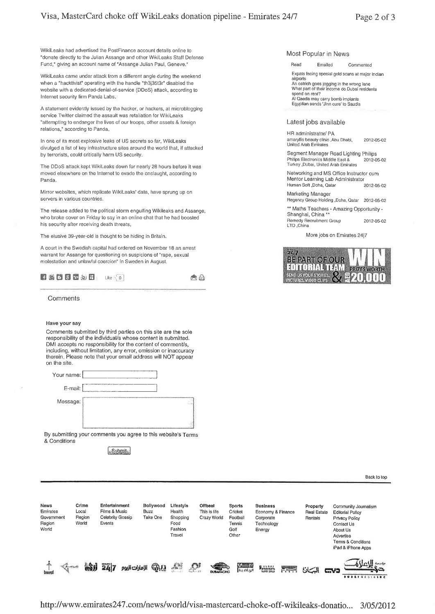WikiLeaks had advertised the PostFinance account details online to "donate directly to the Julian Assange and other Wikileaks Staff Defense Fund," giving an account name of "Assange Julian Paul, Geneve."

WikiLeaks came under attack from a different angle during the weekend when a "hacktivist" operating with the handle "th3j35t3r" disabled the website with a dedicated-denial-of-service (DDoS) attack, according to Internet security firm Panda Labs

A statement evidently issued by the hacker, or hackers, at microblogging service Twitter claimed the assault was retaliation for WikiLeaks "attempting to endanger the lives of our troops, other assets & foreign relations," according to Panda

In one of its most explosive leaks of US secrets so far, WikiLeaks divulged a list of key infrastructure sites around the world that, if attacked by terrorists, could critically harm US security.

The DDoS attack kept WikiLeaks down for nearly 28 hours before it was moved elsewhere on the Internet to evade the onslaught, according to Panda.

Mirror websites, which replicate WikiLeaks' data, have sprung up on servers in various countries.

The release added to the political storm engulfing Wikileaks and Assange, who broke cover on Friday to say in an online chat that he had boosted his security afler receiving death threats

The elusive 39-year-old is thought to be hiding in Britain.

A court in the Swedish capital had ordered on November 18 an arrest warrant for Assange for questioning on suspicions of "rape, sexual molestation and unlawful coercion" in Sweden in August.

|  |  |  |  |  |  |  |  | 子善百日云边日 Like (0) | 西西 |  |
|--|--|--|--|--|--|--|--|------------------|----|--|
|--|--|--|--|--|--|--|--|------------------|----|--|

**Comments** 

#### Have your say

Comments submitted by third parties on this site are the sole responsibility of the individual/s whose content is submitted. DMI accepts no responsibility for the content of comment/s, including, without limitation, any error, omission or inaccuracy therein. Please note that your email address will NOT appear on the site.



By submitting your comments you agree to this website's Terms & Conditions

Submit<sub>s</sub>

Most Popular in News

Read Emailed Commented

Expats facing special gold scans at major Indian aimorts An ostrich goes jogging in the wrong lane<br>What part of their income do Dubai residents spend on rent? Al Qaeda may carry bomb implanls Egyplian sends'Jinn cure' to Saudis

#### Latest jobs available

HR administrator/ PA amaryllis beauty clin¡c,Abu Dhabì, 2O12-O5-O2 United Arab Emirales

Segment Manager Road Lighting Philips<br>Philips Electronics Middle East & 2012-05-02 Philips Electronics Middle East & 2012-05-02<br>Turkey ,Dubai, United Arab Emirates

Networking and MS Office Instructor cum Mentor Learning Lab Administrator Human Soft,Doha, Qatar 2012-05-02

Marketing Manager Regency Group Holding ,Doha, Oatar 2O12-O5-O2

\*\* Maths Teachers - Amazing Opportunity -Shanghai, China \*\*

Remedy Recruitmenl Group 2O12-O5,O2 LTD,China

More jobs on Emirates 2417



News Crime Entertainment<br>Emirates Local Films & Music Bollywood Lifestyle Offbeat Sports<br>Buzz Health This is life Cricket Euslness Propérly Community Joumalism Emirates Local Films & Music<br>Government Region Celebrity Gos Health This is life Cricket<br>Shopping Crazy World Footbal Economy & Finance Real Estate<br>Corporate Rentals Editoriál Pollcy Take One Shop<br>Food Region Celebrity Gossip<br>World Events Prtvacy Policy Region Technology Tennis Contact Us World Fashion Golf Energy About Us Travel Other Advertise Terms & Condilions iPâd & iPhone Apps SI 247 pallolulul QUI D,

Back to top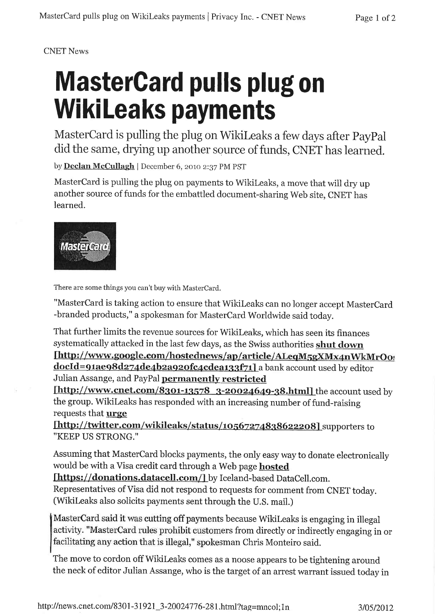# CNET News

# MasterGard pulls plug on **WikiLeaks payments**

MasterCard is pulling the plug on WikiLeaks a few days after PayPal did the same, drying up another source of funds, CNET has learned.

by Declan McCullagh | December 6, 2010 2:37 PM PST

MasterCard is pulling the plug on payments to Wikileaks, a move that will dry up another source of funds for the embattled document-sharing Web site, CNET has learned.



There are some things you can't buy with MasterCard.

"MasterCard is taking action to ensure that Wikileaks can no longer accept MasterCard -branded products," a spokesman for Mastercard worldwide said today.

That further limits the revenue sources for Wikileaks, which has seen its finances systematically attacked in the last few days, as the Swiss authorities **shut down**<br>[http://www.google.com/hostednews/ap/article/ALeqM5gXMx4nWkMrOog

docld=91ae98d274de4b2a920fc4cdea133f71] a bank account used by editor Julian Assange, and PayPal **permanently restricted** 

[http://www.cnet.com/8301-13578 3-20024649-38.html] the account used by the group. Wikileaks has responded with an increasing number of fund-raising requests that **urge** 

[http://twitter.com/wikileaks/status/10567274838622208] supporters to ''KEEP US STRONG.''

Assuming that MasterCard blocks payments, the only easy way to donate electronically would be with a Visa credit card through a Web page hosted

lhttps://donations.datacell.com/l by lceland-based Datacell.com.

Representatives of Visa did not respond to requests for comment from CNET today. (Wikileaks also solicits payments sent through the U.S. mait.)

MasterCard said it was cutting off payments because WikiLeaks is engaging in illegal activity. "MasterCard rules prohibit customers from directly or indirectly engaging in or facilitating any action that is illegal," spokesman Chris Monteiro said.

The move to cordon offWikileaks comes as a noose appears to be tightening around the neck of editor Julian Assange, who is the target of an arrest warrant issued today in